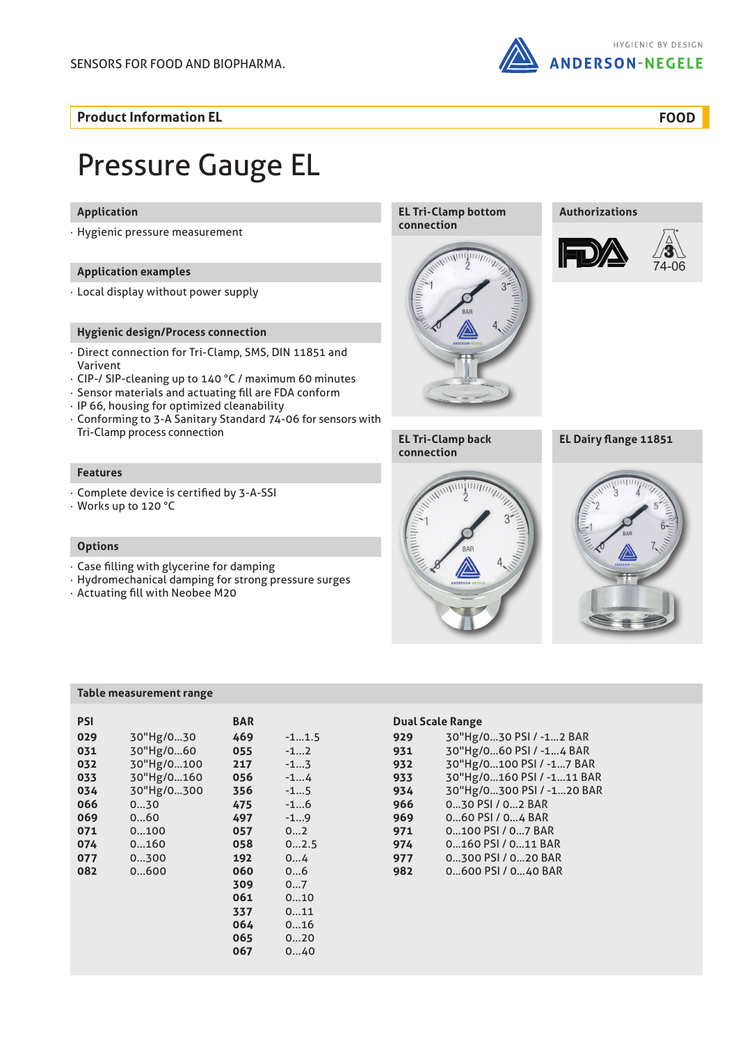

**Product Information EL**

**FOOD**

# Pressure Gauge EL

### **Application**

· Hygienic pressure measurement

#### **Application examples**

· Local display without power supply

#### **Hygienic design/Process connection**

- · Direct connection for Tri-Clamp, SMS, DIN 11851 and Varivent
- · CIP-/ SIP-cleaning up to 140 °C / maximum 60 minutes
- · Sensor materials and actuating fill are FDA conform
- · IP 66, housing for optimized cleanability
- · Conforming to 3-A Sanitary Standard 74-06 for sensors with Tri-Clamp process connection

#### **Features**

- · Complete device is certified by 3-A-SSI
- · Works up to 120 °C

#### **Options**

- · Case filling with glycerine for damping
- · Hydromechanical damping for strong pressure surges
- · Actuating fill with Neobee M20

#### **Table measurement range**

| PSI |            | <b>BAR</b> |         |
|-----|------------|------------|---------|
| 029 | 30"Hg/030  | 469        | $-11.5$ |
| 031 | 30"Hg/060  | 055        | $-12$   |
| 032 | 30"Hg/0100 | 217        | $-13$   |
| 033 | 30"Hg/0160 | 056        | $-14$   |
| 034 | 30"Hg/0300 | 356        | $-15$   |
| 066 | 030        | 475        | $-16$   |
| 069 | 060        | 497        | $-19$   |
| 071 | 0100       | 057        | 02      |
| 074 | 0160       | 058        | 02.5    |
| 077 | 0300       | 192        | 04      |
| 082 | 0600       | 060        | 06      |
|     |            | 309        | 07      |
|     |            | 061        | 010     |
|     |            | 337        | 011     |
|     |            | 064        | 016     |
|     |            | 065        | 020     |
|     |            | 067        | 040     |
|     |            |            |         |

#### **EL Tri-Clamp bottom connection**



**Authorizations**









**EL Dairy flange 11851**



#### **Dual Scale Range**

| 30"Hg/0160 PSI / -111 BAR |
|---------------------------|
| 30"Hg/0300 PSI / -120 BAR |
|                           |
|                           |
|                           |
|                           |
|                           |
|                           |
| 30"Hg/0100 PSI / -17 BAR  |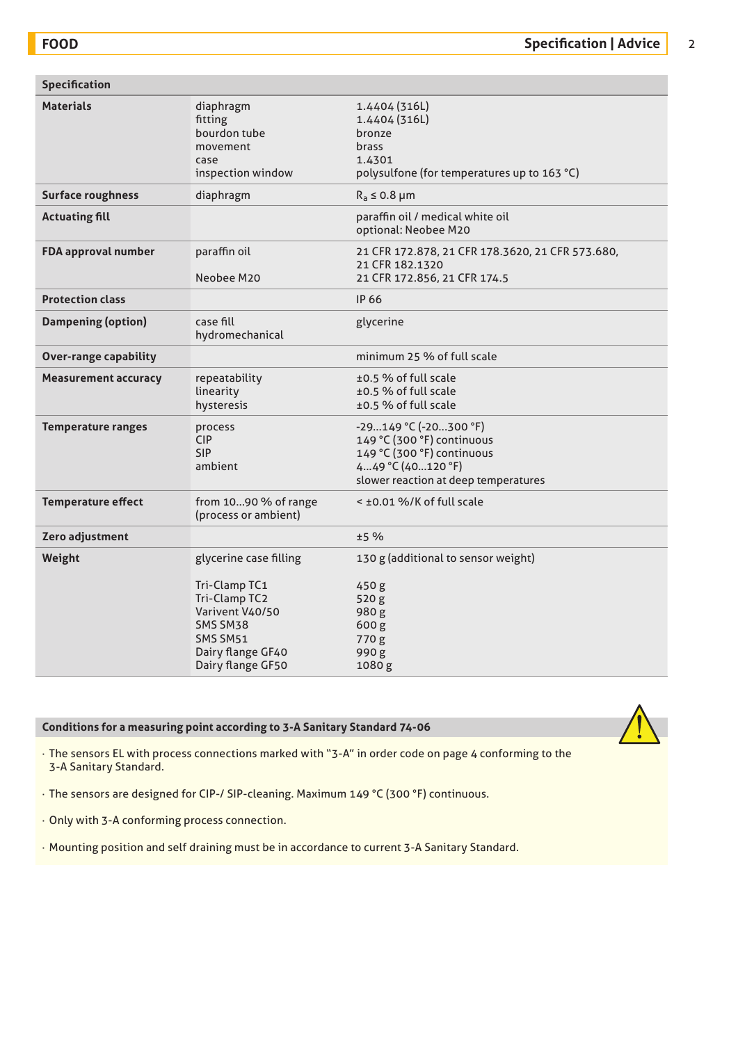| <b>Materials</b><br>diaphragm<br>1.4404 (316L)<br>fitting<br>1.4404 (316L)<br>bourdon tube<br>bronze<br>brass<br>movement<br>1.4301<br>case<br>inspection window<br>polysulfone (for temperatures up to 163 °C)<br><b>Surface roughness</b><br>diaphragm<br>$R_a \leq 0.8$ µm |  |
|-------------------------------------------------------------------------------------------------------------------------------------------------------------------------------------------------------------------------------------------------------------------------------|--|
|                                                                                                                                                                                                                                                                               |  |
|                                                                                                                                                                                                                                                                               |  |
| <b>Actuating fill</b><br>paraffin oil / medical white oil<br>optional: Neobee M20                                                                                                                                                                                             |  |
| FDA approval number<br>paraffin oil<br>21 CFR 172.878, 21 CFR 178.3620, 21 CFR 573.680,<br>21 CFR 182.1320<br>Neobee M20<br>21 CFR 172.856, 21 CFR 174.5                                                                                                                      |  |
| <b>Protection class</b><br><b>IP 66</b>                                                                                                                                                                                                                                       |  |
| <b>Dampening (option)</b><br>case fill<br>glycerine<br>hydromechanical                                                                                                                                                                                                        |  |
| minimum 25 % of full scale<br><b>Over-range capability</b>                                                                                                                                                                                                                    |  |
| <b>Measurement accuracy</b><br>repeatability<br>±0.5 % of full scale<br>±0.5 % of full scale<br>linearity<br>±0.5 % of full scale<br>hysteresis                                                                                                                               |  |
| <b>Temperature ranges</b><br>$-29149$ °C ( $-20300$ °F)<br>process<br><b>CIP</b><br>149 °C (300 °F) continuous<br><b>SIP</b><br>149 °C (300 °F) continuous<br>ambient<br>449 °C (40120 °F)<br>slower reaction at deep temperatures                                            |  |
| < ±0.01 %/K of full scale<br><b>Temperature effect</b><br>from 1090 % of range<br>(process or ambient)                                                                                                                                                                        |  |
| ±5 %<br>Zero adjustment                                                                                                                                                                                                                                                       |  |
| 130 g (additional to sensor weight)<br>Weight<br>glycerine case filling<br>Tri-Clamp TC1<br>450 g<br>Tri-Clamp TC2<br>520 g<br>Varivent V40/50<br>980g<br>SMS SM38<br>600 g<br>SMS SM51<br>770 g<br>Dairy flange GF40<br>990g<br>Dairy flange GF50<br>1080g                   |  |

### **Conditions for a measuring point according to 3-A Sanitary Standard 74-06**



· The sensors EL with process connections marked with "3-A" in order code on page 4 conforming to the 3-A Sanitary Standard.

· The sensors are designed for CIP-/ SIP-cleaning. Maximum 149 °C (300 °F) continuous.

· Only with 3-A conforming process connection.

· Mounting position and self draining must be in accordance to current 3-A Sanitary Standard.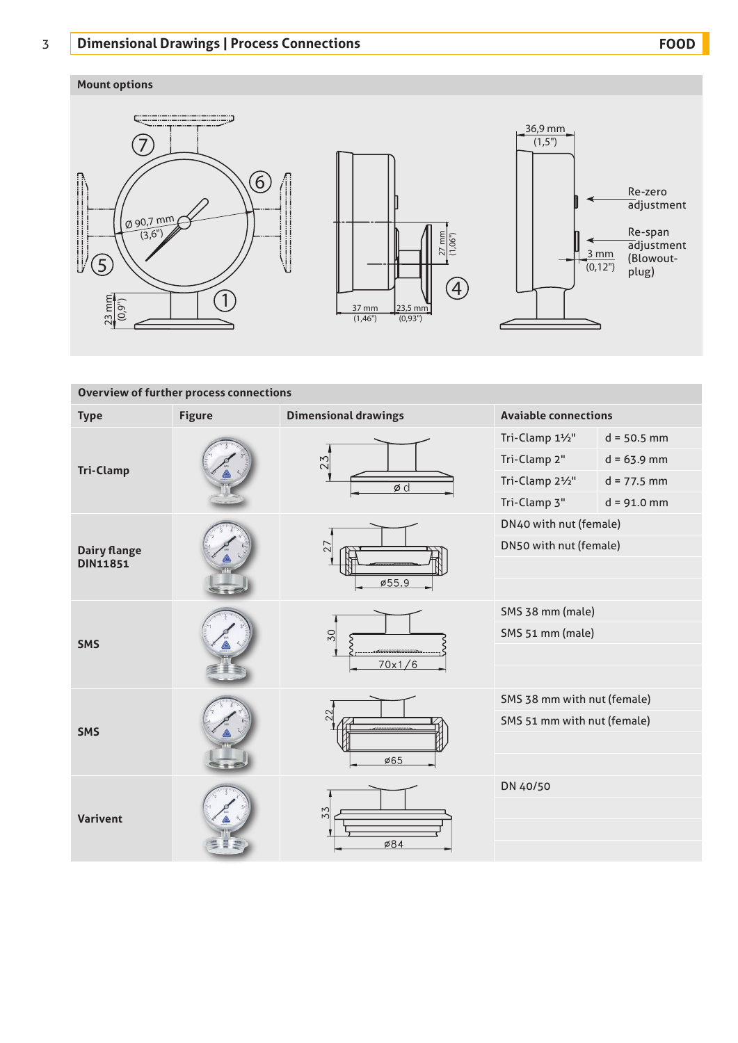# 3 **Dimensional Drawings | Process Connections FOOD**

## **Mount options**







| <b>Overview of further process connections</b> |               |                                |                             |               |  |  |  |  |
|------------------------------------------------|---------------|--------------------------------|-----------------------------|---------------|--|--|--|--|
| <b>Type</b>                                    | <b>Figure</b> | <b>Dimensional drawings</b>    | <b>Avaiable connections</b> |               |  |  |  |  |
| <b>Tri-Clamp</b>                               |               | 23<br>$\phi$ d                 | Tri-Clamp 11/2"             | $d = 50.5$ mm |  |  |  |  |
|                                                |               |                                | Tri-Clamp 2"                | $d = 63.9$ mm |  |  |  |  |
|                                                |               |                                | Tri-Clamp 21/2"             | $d = 77.5$ mm |  |  |  |  |
|                                                |               |                                | Tri-Clamp 3"                | $d = 91.0$ mm |  |  |  |  |
| <b>Dairy flange</b><br><b>DIN11851</b>         |               |                                | DN40 with nut (female)      |               |  |  |  |  |
|                                                |               | 27                             | DN50 with nut (female)      |               |  |  |  |  |
|                                                |               |                                |                             |               |  |  |  |  |
|                                                |               | ø55.9                          |                             |               |  |  |  |  |
| <b>SMS</b>                                     |               | 50                             | SMS 38 mm (male)            |               |  |  |  |  |
|                                                |               |                                | SMS 51 mm (male)            |               |  |  |  |  |
|                                                |               | <b>ANNOUNCEMENTS</b><br>70x1/6 |                             |               |  |  |  |  |
|                                                |               |                                |                             |               |  |  |  |  |
| <b>SMS</b>                                     |               | 22.                            | SMS 38 mm with nut (female) |               |  |  |  |  |
|                                                |               | nnnnnannnn                     | SMS 51 mm with nut (female) |               |  |  |  |  |
|                                                |               |                                |                             |               |  |  |  |  |
|                                                |               | Ø65                            |                             |               |  |  |  |  |
| <b>Varivent</b>                                |               |                                | DN 40/50                    |               |  |  |  |  |
|                                                |               | 33                             |                             |               |  |  |  |  |
|                                                |               | Ø84                            |                             |               |  |  |  |  |
|                                                |               |                                |                             |               |  |  |  |  |